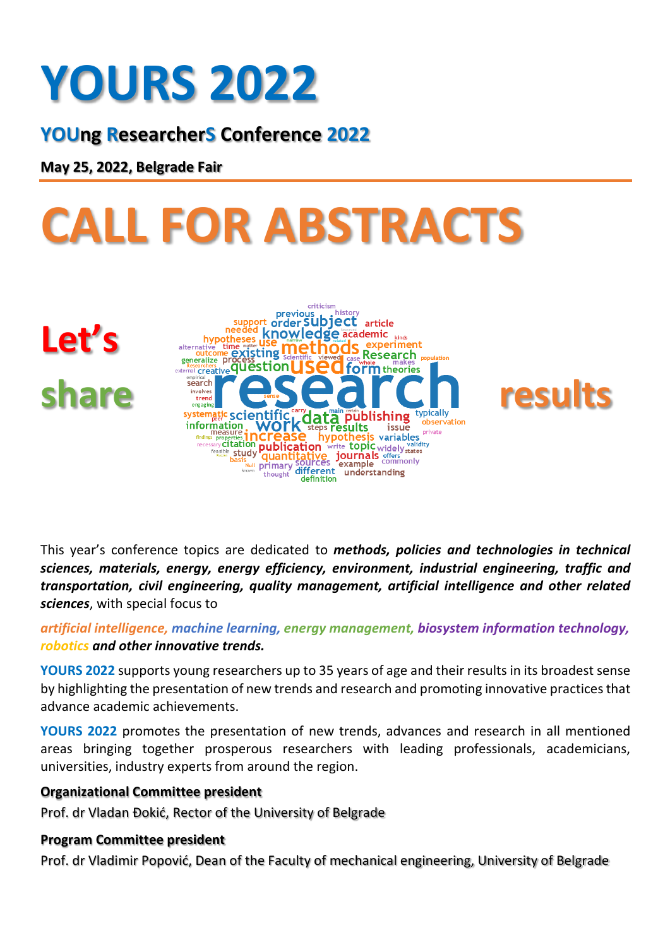### **YOURS 2022**

**YOUng ResearcherS Conference 2022**

**May 25, 2022, Belgrade Fair**

# **CALL FOR ABSTRACTS**

**Let's** 



This year's conference topics are dedicated to *methods, policies and technologies in technical sciences, materials, energy, energy efficiency, environment, industrial engineering, traffic and transportation, civil engineering, quality management, artificial intelligence and other related sciences*, with special focus to

*artificial intelligence, machine learning, energy management, biosystem information technology, robotics and other innovative trends.*

**YOURS 2022** supports young researchers up to 35 years of age and their results in its broadest sense by highlighting the presentation of new trends and research and promoting innovative practices that advance academic achievements.

**YOURS 2022** promotes the presentation of new trends, advances and research in all mentioned areas bringing together prosperous researchers with leading professionals, academicians, universities, industry experts from around the region.

#### **Organizational Committee president**

Prof. dr Vladan Đokić, Rector of the University of Belgrade

#### **Program Committee president**

Prof. dr Vladimir Popović, Dean of the Faculty of mechanical engineering, University of Belgrade